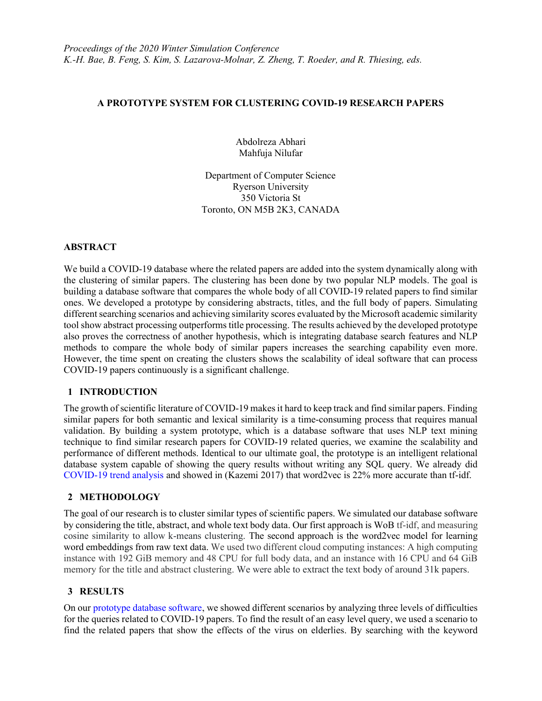### A PROTOTYPE SYSTEM FOR CLUSTERING COVID-19 RESEARCH PAPERS

Abdolreza Abhari Mahfuja Nilufar

Department of Computer Science Ryerson University 350 Victoria St Toronto, ON M5B 2K3, CANADA

### ABSTRACT

We build a COVID-19 database where the related papers are added into the system dynamically along with the clustering of similar papers. The clustering has been done by two popular NLP models. The goal is building a database software that compares the whole body of all COVID-19 related papers to find similar ones. We developed a prototype by considering abstracts, titles, and the full body of papers. Simulating different searching scenarios and achieving similarity scores evaluated by the Microsoft academic similarity tool show abstract processing outperforms title processing. The results achieved by the developed prototype also proves the correctness of another hypothesis, which is integrating database search features and NLP methods to compare the whole body of similar papers increases the searching capability even more. However, the time spent on creating the clusters shows the scalability of ideal software that can process COVID-19 papers continuously is a significant challenge.

### 1 INTRODUCTION

The growth of scientific literature of COVID-19 makes it hard to keep track and find similar papers. Finding similar papers for both semantic and lexical similarity is a time-consuming process that requires manual validation. By building a system prototype, which is a database software that uses NLP text mining technique to find similar research papers for COVID-19 related queries, we examine the scalability and performance of different methods. Identical to our ultimate goal, the prototype is an intelligent relational database system capable of showing the query results without writing any SQL query. We already did COVID-19 trend analysis and showed in (Kazemi 2017) that word2vec is 22% more accurate than tf-idf.

# 2 METHODOLOGY

The goal of our research is to cluster similar types of scientific papers. We simulated our database software by considering the title, abstract, and whole text body data. Our first approach is WoB tf-idf, and measuring cosine similarity to allow k-means clustering. The second approach is the word2vec model for learning word embeddings from raw text data. We used two different cloud computing instances: A high computing instance with 192 GiB memory and 48 CPU for full body data, and an instance with 16 CPU and 64 GiB memory for the title and abstract clustering. We were able to extract the text body of around 31k papers.

### 3 RESULTS

On our prototype database software, we showed different scenarios by analyzing three levels of difficulties for the queries related to COVID-19 papers. To find the result of an easy level query, we used a scenario to find the related papers that show the effects of the virus on elderlies. By searching with the keyword